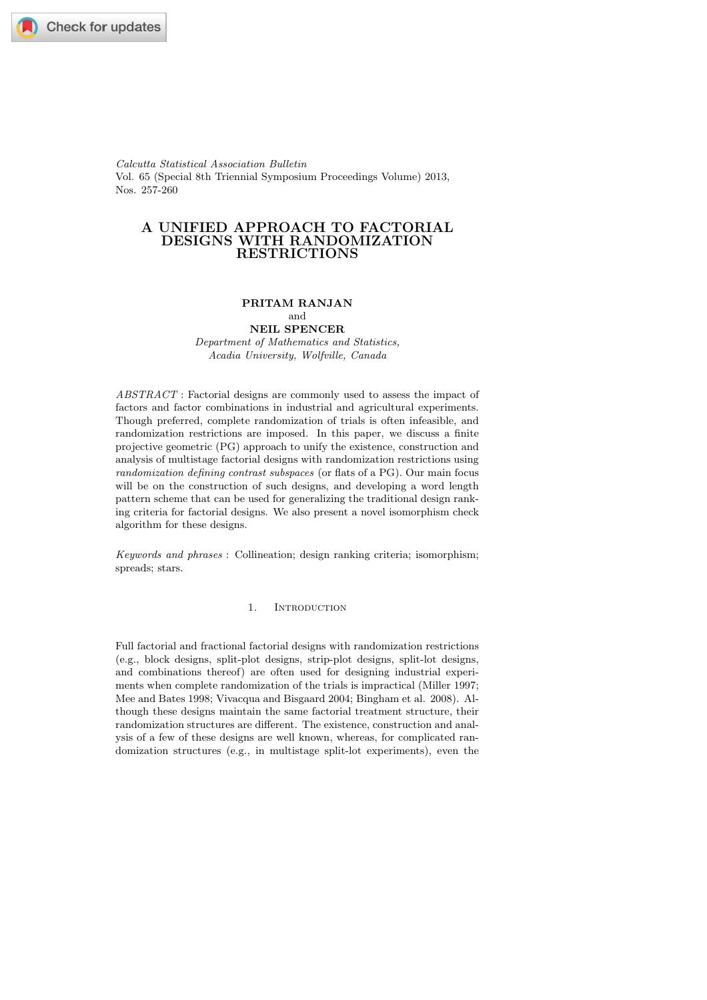Calcutta Statistical Association Bulletin Vol. 65 (Special 8th Triennial Symposium Proceedings Volume) 2013, Nos. 257-260

# A UNIFIED APPROACH TO FACTORIAL DESIGNS WITH RANDOMIZATION RESTRICTIONS

#### PRITAM RANJAN and

# NEIL SPENCER

Department of Mathematics and Statistics, Acadia University, Wolfville, Canada

 $ABSTRACT$  : Factorial designs are commonly used to assess the impact of factors and factor combinations in industrial and agricultural experiments. Though preferred, complete randomization of trials is often infeasible, and randomization restrictions are imposed. In this paper, we discuss a finite projective geometric (PG) approach to unify the existence, construction and analysis of multistage factorial designs with randomization restrictions using randomization defining contrast subspaces (or flats of a PG). Our main focus will be on the construction of such designs, and developing a word length pattern scheme that can be used for generalizing the traditional design ranking criteria for factorial designs. We also present a novel isomorphism check algorithm for these designs.

Keywords and phrases : Collineation; design ranking criteria; isomorphism; spreads; stars.

1. Introduction

Full factorial and fractional factorial designs with randomization restrictions (e.g., block designs, split-plot designs, strip-plot designs, split-lot designs, and combinations thereof) are often used for designing industrial experiments when complete randomization of the trials is impractical (Miller 1997; Mee and Bates 1998; Vivacqua and Bisgaard 2004; Bingham et al. 2008). Although these designs maintain the same factorial treatment structure, their randomization structures are different. The existence, construction and analysis of a few of these designs are well known, whereas, for complicated randomization structures (e.g., in multistage split-lot experiments), even the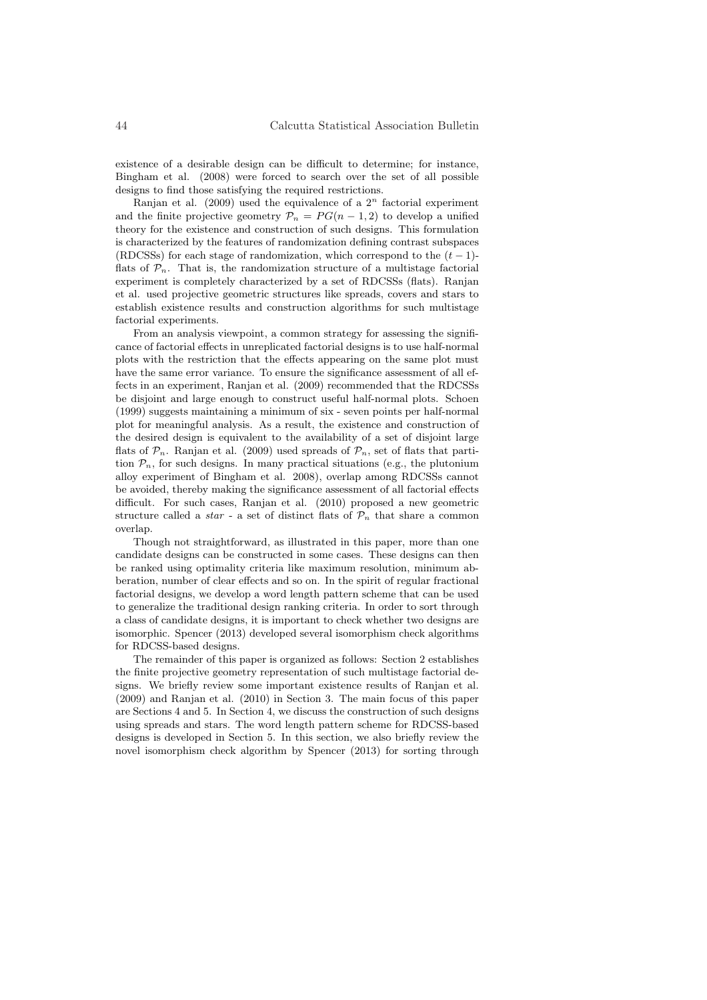existence of a desirable design can be difficult to determine; for instance, Bingham et al. (2008) were forced to search over the set of all possible designs to find those satisfying the required restrictions.

Ranjan et al.  $(2009)$  used the equivalence of a  $2<sup>n</sup>$  factorial experiment and the finite projective geometry  $P_n = PG(n-1, 2)$  to develop a unified theory for the existence and construction of such designs. This formulation is characterized by the features of randomization defining contrast subspaces (RDCSSs) for each stage of randomization, which correspond to the  $(t-1)$ flats of  $\mathcal{P}_n$ . That is, the randomization structure of a multistage factorial experiment is completely characterized by a set of RDCSSs (flats). Ranjan et al. used projective geometric structures like spreads, covers and stars to establish existence results and construction algorithms for such multistage factorial experiments.

From an analysis viewpoint, a common strategy for assessing the significance of factorial effects in unreplicated factorial designs is to use half-normal plots with the restriction that the effects appearing on the same plot must have the same error variance. To ensure the significance assessment of all effects in an experiment, Ranjan et al. (2009) recommended that the RDCSSs be disjoint and large enough to construct useful half-normal plots. Schoen (1999) suggests maintaining a minimum of six - seven points per half-normal plot for meaningful analysis. As a result, the existence and construction of the desired design is equivalent to the availability of a set of disjoint large flats of  $P_n$ . Ranjan et al. (2009) used spreads of  $P_n$ , set of flats that partition  $\mathcal{P}_n$ , for such designs. In many practical situations (e.g., the plutonium alloy experiment of Bingham et al. 2008), overlap among RDCSSs cannot be avoided, thereby making the significance assessment of all factorial effects difficult. For such cases, Ranjan et al. (2010) proposed a new geometric structure called a *star* - a set of distinct flats of  $\mathcal{P}_n$  that share a common overlap.

Though not straightforward, as illustrated in this paper, more than one candidate designs can be constructed in some cases. These designs can then be ranked using optimality criteria like maximum resolution, minimum abberation, number of clear effects and so on. In the spirit of regular fractional factorial designs, we develop a word length pattern scheme that can be used to generalize the traditional design ranking criteria. In order to sort through a class of candidate designs, it is important to check whether two designs are isomorphic. Spencer (2013) developed several isomorphism check algorithms for RDCSS-based designs.

The remainder of this paper is organized as follows: Section 2 establishes the finite projective geometry representation of such multistage factorial designs. We briefly review some important existence results of Ranjan et al. (2009) and Ranjan et al. (2010) in Section 3. The main focus of this paper are Sections 4 and 5. In Section 4, we discuss the construction of such designs using spreads and stars. The word length pattern scheme for RDCSS-based designs is developed in Section 5. In this section, we also briefly review the novel isomorphism check algorithm by Spencer (2013) for sorting through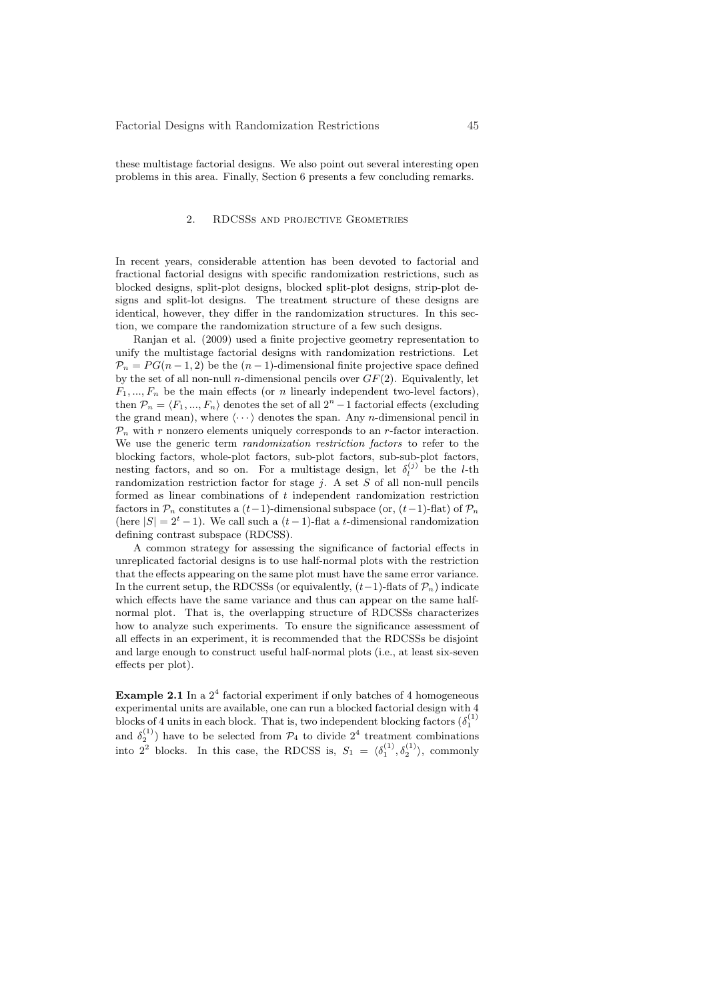these multistage factorial designs. We also point out several interesting open problems in this area. Finally, Section 6 presents a few concluding remarks.

# 2. RDCSSs and projective Geometries

In recent years, considerable attention has been devoted to factorial and fractional factorial designs with specific randomization restrictions, such as blocked designs, split-plot designs, blocked split-plot designs, strip-plot designs and split-lot designs. The treatment structure of these designs are identical, however, they differ in the randomization structures. In this section, we compare the randomization structure of a few such designs.

Ranjan et al. (2009) used a finite projective geometry representation to unify the multistage factorial designs with randomization restrictions. Let  $\mathcal{P}_n = PG(n-1, 2)$  be the  $(n-1)$ -dimensional finite projective space defined by the set of all non-null *n*-dimensional pencils over  $GF(2)$ . Equivalently, let  $F_1, ..., F_n$  be the main effects (or n linearly independent two-level factors), then  $\mathcal{P}_n = \langle F_1, ..., F_n \rangle$  denotes the set of all  $2^n - 1$  factorial effects (excluding the grand mean), where  $\langle \cdots \rangle$  denotes the span. Any *n*-dimensional pencil in  $\mathcal{P}_n$  with r nonzero elements uniquely corresponds to an r-factor interaction. We use the generic term randomization restriction factors to refer to the blocking factors, whole-plot factors, sub-plot factors, sub-sub-plot factors, nesting factors, and so on. For a multistage design, let  $\delta_l^{(j)}$  be the *l*-th randomization restriction factor for stage  $j$ . A set  $S$  of all non-null pencils formed as linear combinations of t independent randomization restriction factors in  $\mathcal{P}_n$  constitutes a  $(t-1)$ -dimensional subspace (or,  $(t-1)$ -flat) of  $\mathcal{P}_n$ (here  $|S| = 2<sup>t</sup> - 1$ ). We call such a  $(t - 1)$ -flat a t-dimensional randomization defining contrast subspace (RDCSS).

A common strategy for assessing the significance of factorial effects in unreplicated factorial designs is to use half-normal plots with the restriction that the effects appearing on the same plot must have the same error variance. In the current setup, the RDCSSs (or equivalently,  $(t-1)$ -flats of  $\mathcal{P}_n$ ) indicate which effects have the same variance and thus can appear on the same halfnormal plot. That is, the overlapping structure of RDCSSs characterizes how to analyze such experiments. To ensure the significance assessment of all effects in an experiment, it is recommended that the RDCSSs be disjoint and large enough to construct useful half-normal plots (i.e., at least six-seven effects per plot).

**Example 2.1** In a  $2^4$  factorial experiment if only batches of 4 homogeneous experimental units are available, one can run a blocked factorial design with 4 blocks of 4 units in each block. That is, two independent blocking factors  $(\delta_1^{(1)}$ and  $\delta_2^{(1)}$ ) have to be selected from  $\mathcal{P}_4$  to divide  $2^4$  treatment combinations into  $2^2$  blocks. In this case, the RDCSS is,  $S_1 = \langle \delta_1^{(1)}, \delta_2^{(1)} \rangle$ , commonly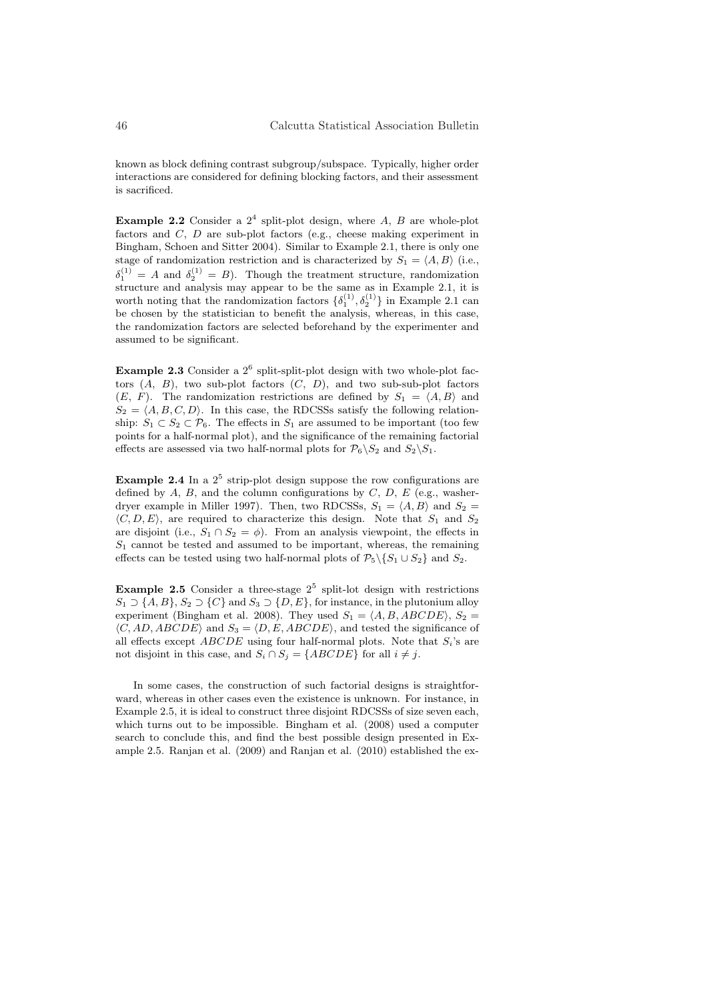known as block defining contrast subgroup/subspace. Typically, higher order interactions are considered for defining blocking factors, and their assessment is sacrificed.

**Example 2.2** Consider a  $2^4$  split-plot design, where A, B are whole-plot factors and C, D are sub-plot factors (e.g., cheese making experiment in Bingham, Schoen and Sitter 2004). Similar to Example 2.1, there is only one stage of randomization restriction and is characterized by  $S_1 = \langle A, B \rangle$  (i.e.,  $\delta_1^{(1)} = A$  and  $\delta_2^{(1)} = B$ ). Though the treatment structure, randomization structure and analysis may appear to be the same as in Example 2.1, it is worth noting that the randomization factors  $\{\delta_1^{(1)}, \delta_2^{(1)}\}$  in Example 2.1 can be chosen by the statistician to benefit the analysis, whereas, in this case, the randomization factors are selected beforehand by the experimenter and assumed to be significant.

**Example 2.3** Consider a  $2^6$  split-split-plot design with two whole-plot factors  $(A, B)$ , two sub-plot factors  $(C, D)$ , and two sub-sub-plot factors  $(E, F)$ . The randomization restrictions are defined by  $S_1 = \langle A, B \rangle$  and  $S_2 = \langle A, B, C, D \rangle$ . In this case, the RDCSSs satisfy the following relationship:  $S_1 \subset S_2 \subset \mathcal{P}_6$ . The effects in  $S_1$  are assumed to be important (too few points for a half-normal plot), and the significance of the remaining factorial effects are assessed via two half-normal plots for  $\mathcal{P}_6\backslash S_2$  and  $S_2\backslash S_1$ .

**Example 2.4** In a  $2^5$  strip-plot design suppose the row configurations are defined by  $A, B$ , and the column configurations by  $C, D, E$  (e.g., washerdryer example in Miller 1997). Then, two RDCSSs,  $S_1 = \langle A, B \rangle$  and  $S_2 =$  $\langle C, D, E \rangle$ , are required to characterize this design. Note that  $S_1$  and  $S_2$ are disjoint (i.e.,  $S_1 \cap S_2 = \phi$ ). From an analysis viewpoint, the effects in  $S_1$  cannot be tested and assumed to be important, whereas, the remaining effects can be tested using two half-normal plots of  $\mathcal{P}_5 \backslash \{S_1 \cup S_2\}$  and  $S_2$ .

**Example 2.5** Consider a three-stage  $2^5$  split-lot design with restrictions  $S_1 \supset \{A, B\}, S_2 \supset \{C\}$  and  $S_3 \supset \{D, E\}$ , for instance, in the plutonium alloy experiment (Bingham et al. 2008). They used  $S_1 = \langle A, B, ABCDE \rangle$ ,  $S_2 =$  $\langle C, AD, ABCDE \rangle$  and  $S_3 = \langle D, E, ABCDE \rangle$ , and tested the significance of all effects except  $ABCDE$  using four half-normal plots. Note that  $S_i$ 's are not disjoint in this case, and  $S_i \cap S_j = \{ABCDE\}$  for all  $i \neq j$ .

In some cases, the construction of such factorial designs is straightforward, whereas in other cases even the existence is unknown. For instance, in Example 2.5, it is ideal to construct three disjoint RDCSSs of size seven each, which turns out to be impossible. Bingham et al. (2008) used a computer search to conclude this, and find the best possible design presented in Example 2.5. Ranjan et al. (2009) and Ranjan et al. (2010) established the ex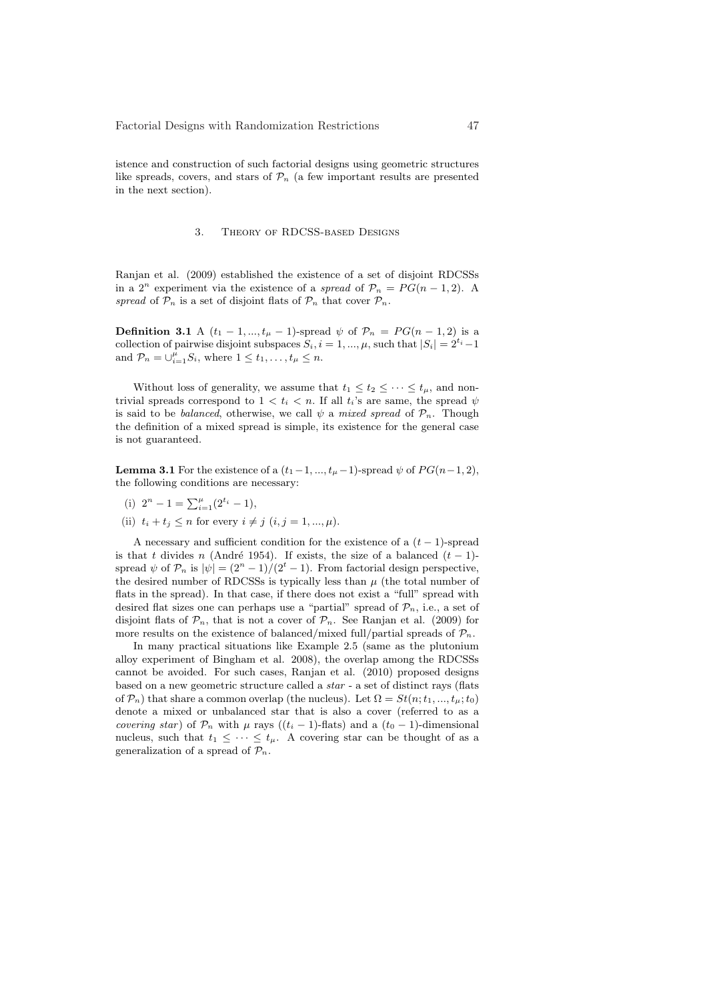istence and construction of such factorial designs using geometric structures like spreads, covers, and stars of  $\mathcal{P}_n$  (a few important results are presented in the next section).

#### 3. Theory of RDCSS-based Designs

Ranjan et al. (2009) established the existence of a set of disjoint RDCSSs in a  $2^n$  experiment via the existence of a spread of  $\mathcal{P}_n = PG(n-1, 2)$ . A spread of  $\mathcal{P}_n$  is a set of disjoint flats of  $\mathcal{P}_n$  that cover  $\mathcal{P}_n$ .

**Definition 3.1** A  $(t_1 - 1, ..., t_{\mu} - 1)$ -spread  $\psi$  of  $\mathcal{P}_n = PG(n - 1, 2)$  is a collection of pairwise disjoint subspaces  $S_i$ ,  $i = 1, ..., \mu$ , such that  $|S_i| = 2^{t_i} - 1$ and  $\mathcal{P}_n = \bigcup_{i=1}^{\mu} S_i$ , where  $1 \leq t_1, \ldots, t_{\mu} \leq n$ .

Without loss of generality, we assume that  $t_1 \leq t_2 \leq \cdots \leq t_{\mu}$ , and nontrivial spreads correspond to  $1 < t_i < n$ . If all  $t_i$ 's are same, the spread  $\psi$ is said to be *balanced*, otherwise, we call  $\psi$  a mixed spread of  $\mathcal{P}_n$ . Though the definition of a mixed spread is simple, its existence for the general case is not guaranteed.

**Lemma 3.1** For the existence of a  $(t_1-1, ..., t_{\mu}-1)$ -spread  $\psi$  of  $PG(n-1, 2)$ , the following conditions are necessary:

- (i)  $2^n 1 = \sum_{i=1}^{\mu} (2^{t_i} 1),$
- (ii)  $t_i + t_j \leq n$  for every  $i \neq j$   $(i, j = 1, ..., \mu)$ .

A necessary and sufficient condition for the existence of a  $(t-1)$ -spread is that t divides n (André 1954). If exists, the size of a balanced  $(t - 1)$ spread  $\psi$  of  $\mathcal{P}_n$  is  $|\psi| = (2^n - 1)/(2^t - 1)$ . From factorial design perspective, the desired number of RDCSSs is typically less than  $\mu$  (the total number of flats in the spread). In that case, if there does not exist a "full" spread with desired flat sizes one can perhaps use a "partial" spread of  $\mathcal{P}_n$ , i.e., a set of disjoint flats of  $\mathcal{P}_n$ , that is not a cover of  $\mathcal{P}_n$ . See Ranjan et al. (2009) for more results on the existence of balanced/mixed full/partial spreads of  $\mathcal{P}_n$ .

In many practical situations like Example 2.5 (same as the plutonium alloy experiment of Bingham et al. 2008), the overlap among the RDCSSs cannot be avoided. For such cases, Ranjan et al. (2010) proposed designs based on a new geometric structure called a star - a set of distinct rays (flats of  $\mathcal{P}_n$ ) that share a common overlap (the nucleus). Let  $\Omega = St(n; t_1, ..., t_n; t_0)$ denote a mixed or unbalanced star that is also a cover (referred to as a covering star) of  $\mathcal{P}_n$  with  $\mu$  rays ((t<sub>i</sub> − 1)-flats) and a (t<sub>0</sub> − 1)-dimensional nucleus, such that  $t_1 \leq \cdots \leq t_{\mu}$ . A covering star can be thought of as a generalization of a spread of  $\mathcal{P}_n$ .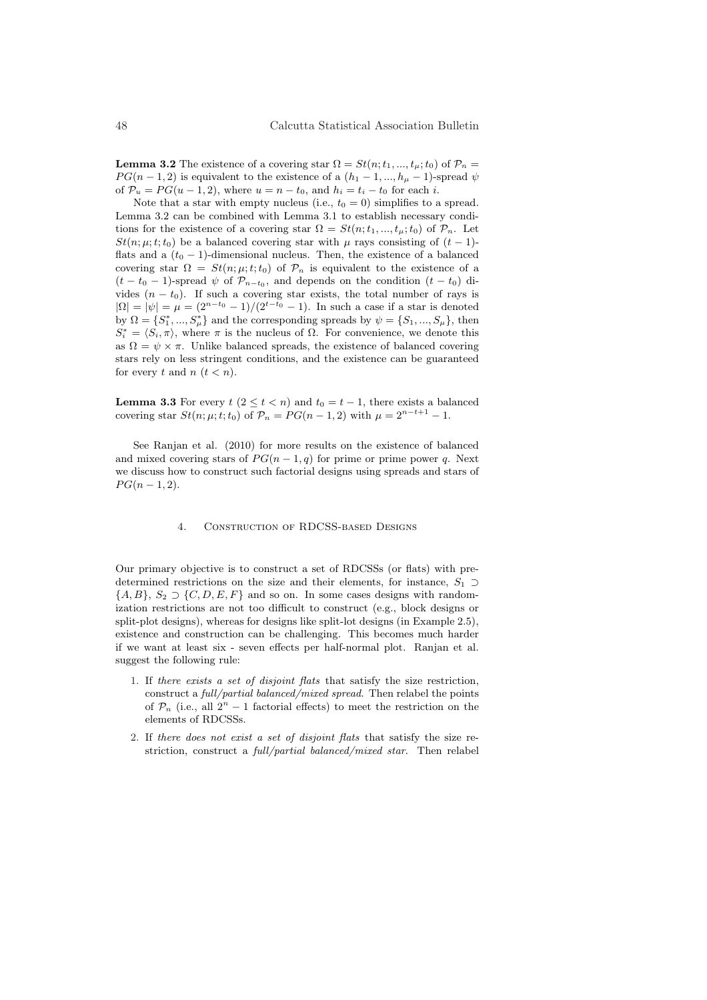**Lemma 3.2** The existence of a covering star  $\Omega = St(n; t_1, ..., t_n; t_0)$  of  $\mathcal{P}_n =$  $PG(n-1, 2)$  is equivalent to the existence of a  $(h_1 - 1, ..., h_n - 1)$ -spread  $\psi$ of  $\mathcal{P}_u = PG(u-1, 2)$ , where  $u = n - t_0$ , and  $h_i = t_i - t_0$  for each i.

Note that a star with empty nucleus (i.e.,  $t_0 = 0$ ) simplifies to a spread. Lemma 3.2 can be combined with Lemma 3.1 to establish necessary conditions for the existence of a covering star  $\Omega = St(n; t_1, ..., t_\mu; t_0)$  of  $\mathcal{P}_n$ . Let  $St(n; \mu; t; t_0)$  be a balanced covering star with  $\mu$  rays consisting of  $(t - 1)$ flats and a  $(t_0 - 1)$ -dimensional nucleus. Then, the existence of a balanced covering star  $\Omega = St(n; \mu; t; t_0)$  of  $\mathcal{P}_n$  is equivalent to the existence of a  $(t-t_0-1)$ -spread  $\psi$  of  $\mathcal{P}_{n-t_0}$ , and depends on the condition  $(t-t_0)$  divides  $(n - t_0)$ . If such a covering star exists, the total number of rays is  $|\Omega| = |\psi| = \mu = (2^{n-t_0} - 1)/(2^{t-t_0} - 1)$ . In such a case if a star is denoted by  $\Omega = \{S_1^*, ..., S_\mu^*\}$  and the corresponding spreads by  $\psi = \{S_1, ..., S_\mu\}$ , then  $S_i^* = \langle S_i, \pi \rangle$ , where  $\pi$  is the nucleus of  $\Omega$ . For convenience, we denote this as  $\Omega = \psi \times \pi$ . Unlike balanced spreads, the existence of balanced covering stars rely on less stringent conditions, and the existence can be guaranteed for every t and  $n$   $(t < n)$ .

**Lemma 3.3** For every  $t$  ( $2 \le t < n$ ) and  $t_0 = t - 1$ , there exists a balanced covering star  $St(n; \mu; t; t_0)$  of  $\mathcal{P}_n = PG(n - 1, 2)$  with  $\mu = 2^{n-t+1} - 1$ .

See Ranjan et al. (2010) for more results on the existence of balanced and mixed covering stars of  $PG(n-1,q)$  for prime or prime power q. Next we discuss how to construct such factorial designs using spreads and stars of  $PG(n-1, 2)$ .

### 4. Construction of RDCSS-based Designs

Our primary objective is to construct a set of RDCSSs (or flats) with predetermined restrictions on the size and their elements, for instance,  $S_1 \supset$  $\{A, B\}, S_2 \supset \{C, D, E, F\}$  and so on. In some cases designs with randomization restrictions are not too difficult to construct (e.g., block designs or split-plot designs), whereas for designs like split-lot designs (in Example 2.5), existence and construction can be challenging. This becomes much harder if we want at least six - seven effects per half-normal plot. Ranjan et al. suggest the following rule:

- 1. If there exists a set of disjoint flats that satisfy the size restriction, construct a full/partial balanced/mixed spread. Then relabel the points of  $\mathcal{P}_n$  (i.e., all  $2^n - 1$  factorial effects) to meet the restriction on the elements of RDCSSs.
- 2. If there does not exist a set of disjoint flats that satisfy the size restriction, construct a full/partial balanced/mixed star. Then relabel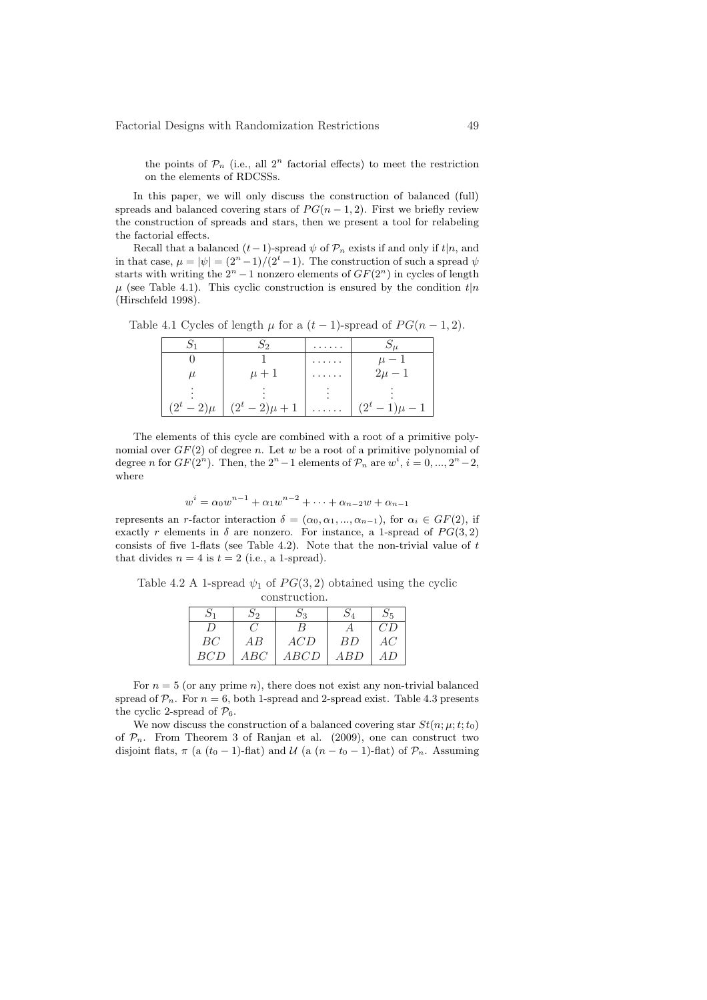the points of  $\mathcal{P}_n$  (i.e., all  $2^n$  factorial effects) to meet the restriction on the elements of RDCSSs.

In this paper, we will only discuss the construction of balanced (full) spreads and balanced covering stars of  $PG(n-1, 2)$ . First we briefly review the construction of spreads and stars, then we present a tool for relabeling the factorial effects.

Recall that a balanced  $(t-1)$ -spread  $\psi$  of  $\mathcal{P}_n$  exists if and only if  $t|n$ , and in that case,  $\mu = |\psi| = (2^n - 1)/(2^t - 1)$ . The construction of such a spread  $\psi$ starts with writing the  $2^n - 1$  nonzero elements of  $GF(2^n)$  in cycles of length  $\mu$  (see Table 4.1). This cyclic construction is ensured by the condition  $t|n$ (Hirschfeld 1998).

Table 4.1 Cycles of length  $\mu$  for a  $(t-1)$ -spread of  $PG(n-1, 2)$ .

|                |                    | . |                |
|----------------|--------------------|---|----------------|
|                |                    | . | $\mu - 1$      |
| μ              | $\mu + 1$          | . | $2\mu - 1$     |
|                |                    |   |                |
| $(2^t - 2)\mu$ | $(2^t - 2)\mu + 1$ | . | $(2^t-1)\mu-1$ |

The elements of this cycle are combined with a root of a primitive polynomial over  $GF(2)$  of degree n. Let w be a root of a primitive polynomial of degree *n* for  $GF(2^n)$ . Then, the  $2^n - 1$  elements of  $\mathcal{P}_n$  are  $w^i$ ,  $i = 0, ..., 2^n - 2$ , where

$$
w^{i} = \alpha_0 w^{n-1} + \alpha_1 w^{n-2} + \dots + \alpha_{n-2} w + \alpha_{n-1}
$$

represents an r-factor interaction  $\delta = (\alpha_0, \alpha_1, ..., \alpha_{n-1})$ , for  $\alpha_i \in GF(2)$ , if exactly r elements in  $\delta$  are nonzero. For instance, a 1-spread of  $PG(3, 2)$ consists of five 1-flats (see Table 4.2). Note that the non-trivial value of  $t$ that divides  $n = 4$  is  $t = 2$  (i.e., a 1-spread).

Table 4.2 A 1-spread  $\psi_1$  of  $PG(3, 2)$  obtained using the cyclic construction.

| $\mathcal{D}1$ | פר             | $\mathcal{D}_3$ |     | $\mathcal{D}5$ |
|----------------|----------------|-----------------|-----|----------------|
| $\overline{D}$ |                | B               |     | CD             |
| BC             | АB             | ACD             | ΒD  | AC             |
| BCD            | $\mathit{ABC}$ | ABCD            | ABD | A D            |

For  $n = 5$  (or any prime n), there does not exist any non-trivial balanced spread of  $\mathcal{P}_n$ . For  $n = 6$ , both 1-spread and 2-spread exist. Table 4.3 presents the cyclic 2-spread of  $\mathcal{P}_6$ .

We now discuss the construction of a balanced covering star  $St(n; \mu; t; t_0)$ of  $P_n$ . From Theorem 3 of Ranjan et al. (2009), one can construct two disjoint flats,  $\pi$  (a (t<sub>0</sub> − 1)-flat) and  $\mathcal{U}$  (a (n − t<sub>0</sub> − 1)-flat) of  $\mathcal{P}_n$ . Assuming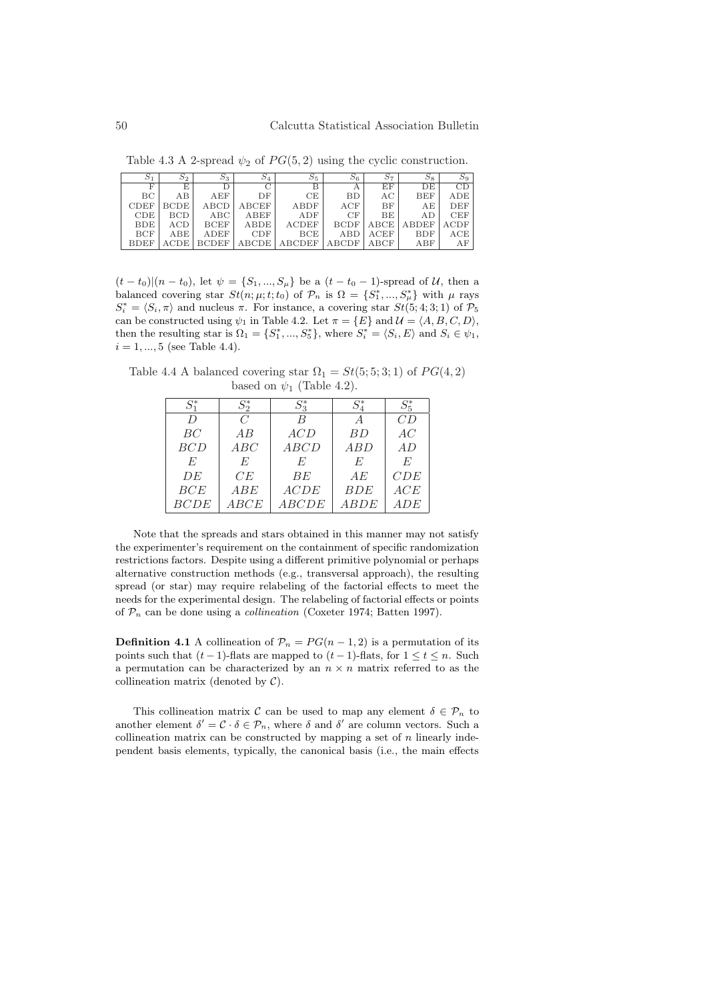Table 4.3 A 2-spread  $\psi_2$  of  $PG(5, 2)$  using the cyclic construction.

| $S_1$       | 5 <sub>2</sub>        | $S_3$        | $S_4$                                     | $S_5$         | 56          | $S_7$ | $S_8$        | $S_9$ |
|-------------|-----------------------|--------------|-------------------------------------------|---------------|-------------|-------|--------------|-------|
| F           | E                     | D            | $\overline{C}$                            | В             | A           | EF    | DE           | CD    |
| BC          | AB                    | AEF          | DF                                        | CE            | <b>BD</b>   | AC    | <b>BEF</b>   | ADE   |
| <b>CDEF</b> | BCDE                  | ABCD         | ${\rm A} {\rm B} {\rm C} {\rm E} {\rm F}$ | ABDF          | ACF         | BF    | AE           | DEF   |
| CDE         | <b>BCD</b>            | ABC          | ABEF                                      | ADF           | CF          | BE    | AD           | CEF   |
| <b>BDE</b>  | ACD                   | <b>BCEF</b>  | ABDE                                      | <b>ACDEF</b>  | <b>BCDF</b> | ABCE  | <b>ABDEF</b> | ACDF  |
| <b>BCF</b>  | ABE                   | ADEF         | CDF                                       | BCE           | ABD         | ACEF  | BDF          | ACE   |
| <b>BDEF</b> | $\operatorname{ACDE}$ | <b>BCDEF</b> | ABCDE                                     | <b>ABCDEF</b> | ABCDF       | ABCF  | ABF          | AF    |

 $(t - t_0)(n - t_0)$ , let  $\psi = \{S_1, ..., S_\mu\}$  be a  $(t - t_0 - 1)$ -spread of U, then a balanced covering star  $St(n; \mu; t; t_0)$  of  $\mathcal{P}_n$  is  $\Omega = \{S_1^*, ..., S_\mu^*\}$  with  $\mu$  rays  $S_i^* = \langle S_i, \pi \rangle$  and nucleus  $\pi$ . For instance, a covering star  $St(5; 4; 3; 1)$  of  $\mathcal{P}_5$ can be constructed using  $\psi_1$  in Table 4.2. Let  $\pi = \{E\}$  and  $\mathcal{U} = \langle A, B, C, D \rangle$ , then the resulting star is  $\Omega_1 = \{S_1^*, ..., S_5^*\}$ , where  $S_i^* = \langle S_i, E \rangle$  and  $S_i \in \psi_1$ ,  $i = 1, ..., 5$  (see Table 4.4).

Table 4.4 A balanced covering star  $\Omega_1 = St(5; 5; 3; 1)$  of  $PG(4, 2)$ based on  $\psi_1$  (Table 4.2).

| $S_1^*$     | $S^*_{2}$     | $S^*_{2}$    | $S^*_A$    | $S^*_{5}$ |
|-------------|---------------|--------------|------------|-----------|
| D           | $\mathcal{C}$ | B            | A          | CD        |
| BC          | AB            | ACD          | BD         | AC        |
| <i>BCD</i>  | ABC           | ABCD         | ABD        | AD        |
| E           | E             | F.           | E          | E         |
| DE          | CE            | ВE           | AE         | CDE       |
| BCE         | ABE           | ACDE         | <b>BDE</b> | ACE       |
| <b>BCDE</b> | ABCE          | <b>ABCDE</b> | ABDE       | ADE       |

Note that the spreads and stars obtained in this manner may not satisfy the experimenter's requirement on the containment of specific randomization restrictions factors. Despite using a different primitive polynomial or perhaps alternative construction methods (e.g., transversal approach), the resulting spread (or star) may require relabeling of the factorial effects to meet the needs for the experimental design. The relabeling of factorial effects or points of  $\mathcal{P}_n$  can be done using a *collineation* (Coxeter 1974; Batten 1997).

**Definition 4.1** A collineation of  $\mathcal{P}_n = PG(n-1, 2)$  is a permutation of its points such that  $(t-1)$ -flats are mapped to  $(t-1)$ -flats, for  $1 \le t \le n$ . Such a permutation can be characterized by an  $n \times n$  matrix referred to as the collineation matrix (denoted by  $C$ ).

This collineation matrix C can be used to map any element  $\delta \in \mathcal{P}_n$  to another element  $\delta' = \mathcal{C} \cdot \delta \in \mathcal{P}_n$ , where  $\delta$  and  $\delta'$  are column vectors. Such a collineation matrix can be constructed by mapping a set of  $n$  linearly independent basis elements, typically, the canonical basis (i.e., the main effects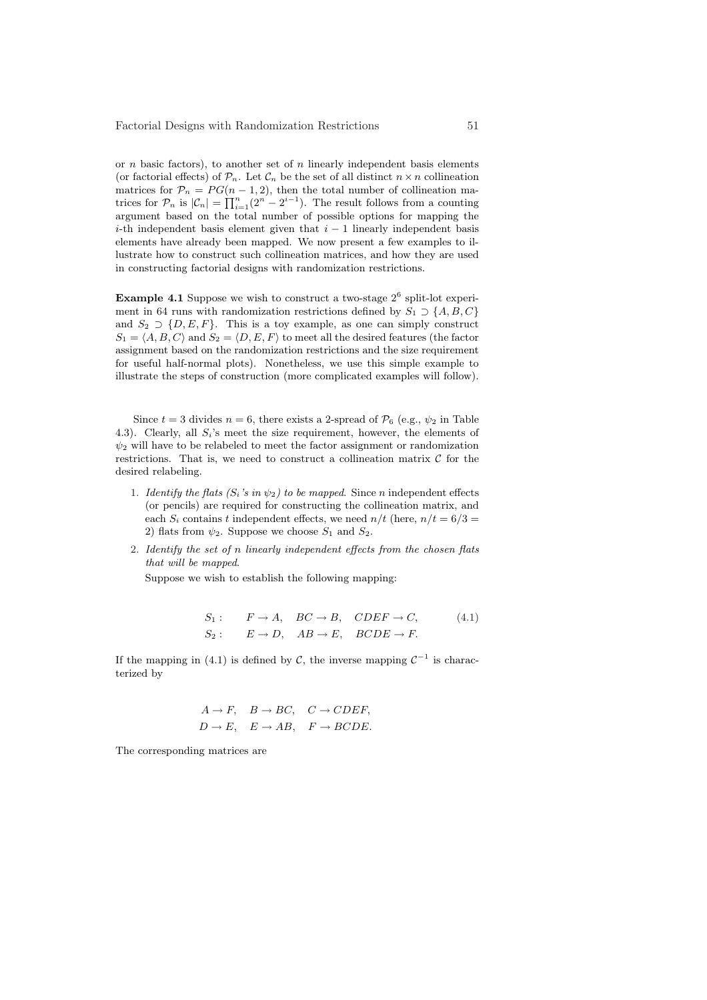or *n* basic factors), to another set of *n* linearly independent basis elements (or factorial effects) of  $\mathcal{P}_n$ . Let  $\mathcal{C}_n$  be the set of all distinct  $n \times n$  collineation matrices for  $P_n = PG(n-1, 2)$ , then the total number of collineation matrices for  $\mathcal{P}_n$  is  $|\mathcal{C}_n| = \prod_{i=1}^n (2^{n} - 2^{i-1})$ . The result follows from a counting argument based on the total number of possible options for mapping the i-th independent basis element given that  $i - 1$  linearly independent basis elements have already been mapped. We now present a few examples to illustrate how to construct such collineation matrices, and how they are used in constructing factorial designs with randomization restrictions.

**Example 4.1** Suppose we wish to construct a two-stage  $2^6$  split-lot experiment in 64 runs with randomization restrictions defined by  $S_1 \supset \{A, B, C\}$ and  $S_2 \supset \{D, E, F\}$ . This is a toy example, as one can simply construct  $S_1 = \langle A, B, C \rangle$  and  $S_2 = \langle D, E, F \rangle$  to meet all the desired features (the factor assignment based on the randomization restrictions and the size requirement for useful half-normal plots). Nonetheless, we use this simple example to illustrate the steps of construction (more complicated examples will follow).

Since  $t = 3$  divides  $n = 6$ , there exists a 2-spread of  $\mathcal{P}_6$  (e.g.,  $\psi_2$  in Table 4.3). Clearly, all  $S_i$ 's meet the size requirement, however, the elements of  $\psi_2$  will have to be relabeled to meet the factor assignment or randomization restrictions. That is, we need to construct a collineation matrix  $\mathcal C$  for the desired relabeling.

- 1. Identify the flats  $(S_i$ 's in  $\psi_2$ ) to be mapped. Since n independent effects (or pencils) are required for constructing the collineation matrix, and each  $S_i$  contains t independent effects, we need  $n/t$  (here,  $n/t = 6/3 =$ 2) flats from  $\psi_2$ . Suppose we choose  $S_1$  and  $S_2$ .
- 2. Identify the set of n linearly independent effects from the chosen flats that will be mapped.

Suppose we wish to establish the following mapping:

$$
S_1: F \to A, BC \to B, CDEF \to C,
$$
  
\n
$$
S_2: E \to D, AB \to E, BCDE \to F.
$$
 (4.1)

If the mapping in (4.1) is defined by C, the inverse mapping  $C^{-1}$  is characterized by

$$
A \to F, \quad B \to BC, \quad C \to CDEF,
$$
  

$$
D \to E, \quad E \to AB, \quad F \to BCDE.
$$

The corresponding matrices are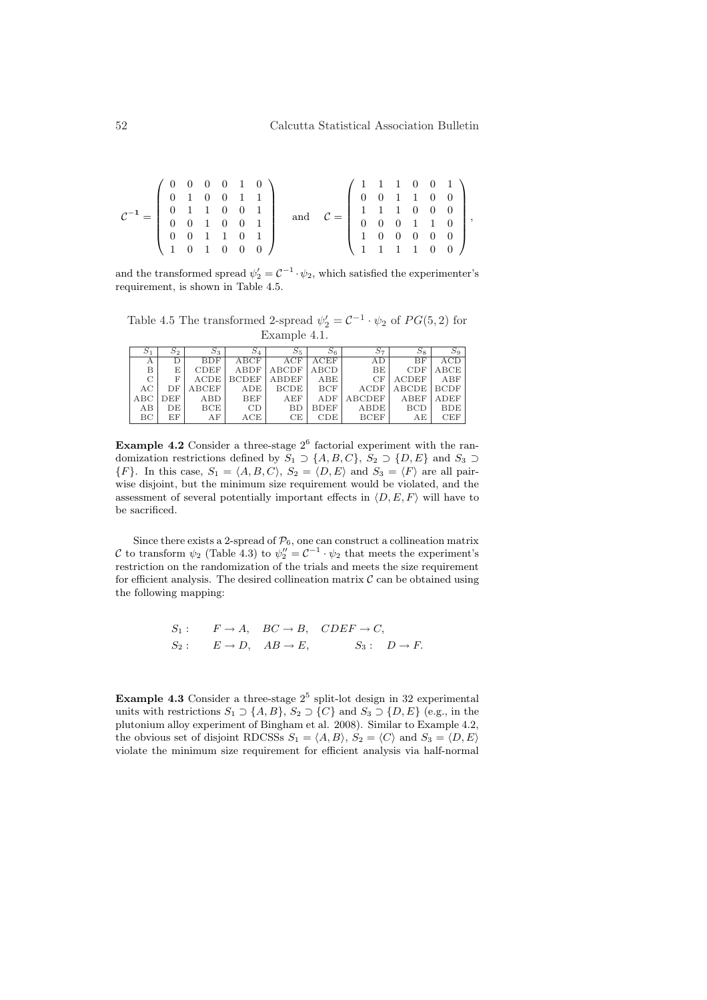| $C^{-1} =$ | $\left(\begin{array}{cccccc} 0 & 0 & 0 & 0 & 1 & 0 \\ 0 & 1 & 0 & 0 & 1 & 1 \end{array}\right)$ |  |  |  |  | $\left(\begin{array}{rrrrr} 1 & 1 & 1 & 0 & 0 & 1 \\ 0 & 0 & 1 & 1 & 0 & 0 \end{array}\right)$    |  |  |                                                     |  |
|------------|-------------------------------------------------------------------------------------------------|--|--|--|--|---------------------------------------------------------------------------------------------------|--|--|-----------------------------------------------------|--|
|            |                                                                                                 |  |  |  |  |                                                                                                   |  |  |                                                     |  |
|            |                                                                                                 |  |  |  |  |                                                                                                   |  |  |                                                     |  |
|            | $\begin{array}{ccccccccc}\n0 & 1 & 1 & 0 & 0 & 1 \\ 0 & 0 & 1 & 0 & 0 & 1\n\end{array}$         |  |  |  |  | $\left[\begin{array}{ccccccc} 1 & 1 & 1 & 0 & 0 & 0 \\ 0 & 0 & 0 & 1 & 1 & 0 \end{array}\right],$ |  |  |                                                     |  |
|            | $\begin{pmatrix} 0 & 0 & 1 & 1 & 0 & 1 \end{pmatrix}$                                           |  |  |  |  |                                                                                                   |  |  | 1 0 0 0 0 0                                         |  |
|            | 1 0 1 0 0 0 1                                                                                   |  |  |  |  |                                                                                                   |  |  | $1 \quad 1 \quad 1 \quad 1 \quad 0 \quad 0 \quad 1$ |  |

and the transformed spread  $\psi_2' = C^{-1} \cdot \psi_2$ , which satisfied the experimenter's requirement, is shown in Table 4.5.

Table 4.5 The transformed 2-spread  $\psi_2' = C^{-1} \cdot \psi_2$  of  $PG(5, 2)$  for Example 4.1.

|     | $S_2$ | $S_3$       | $S_4$        | 55           |             | $S_7$         |                    | $S_9$       |
|-----|-------|-------------|--------------|--------------|-------------|---------------|--------------------|-------------|
| А   | D     | <b>BDF</b>  | ABCF         | ACF          | ACEF        | AD            | BF                 | ACD         |
| B   | E     | <b>CDEF</b> | ABDF         | ABCDF        | ABCD        | BE            | CDF                | ABCE        |
| C   | F     | ACDE        | <b>BCDEF</b> | <b>ABDEF</b> | ABE         | CF            | <b>ACDEF</b>       | ABF         |
| AC  | DF    | ABCEF       | ADE          | <b>BCDE</b>  | <b>BCF</b>  | <b>ACDF</b>   | ABCDE <sup>1</sup> | <b>BCDF</b> |
| ABC | DEF   | ABD         | BEF          | AEF          | ADF         | <b>ABCDEF</b> | ABEF               | <b>ADEF</b> |
| AB  | DE    | BCE         | CD           | BD           | <b>BDEF</b> | ABDE          | <b>BCD</b>         | <b>BDE</b>  |
| ВC  | ΕF    | AF          | ACE          | CЕ           | CDE         | <b>BCEF</b>   | АE                 | <b>CEF</b>  |

**Example 4.2** Consider a three-stage  $2^6$  factorial experiment with the randomization restrictions defined by  $S_1 \supset \{A, B, C\}$ ,  $S_2 \supset \{D, E\}$  and  $S_3 \supset$  ${F}.$  In this case,  $S_1 = \langle A, B, C \rangle$ ,  $S_2 = \langle D, E \rangle$  and  $S_3 = \langle F \rangle$  are all pairwise disjoint, but the minimum size requirement would be violated, and the assessment of several potentially important effects in  $\langle D, E, F \rangle$  will have to be sacrificed.

Since there exists a 2-spread of  $P_6$ , one can construct a collineation matrix C to transform  $\psi_2$  (Table 4.3) to  $\psi_2'' = C^{-1} \cdot \psi_2$  that meets the experiment's restriction on the randomization of the trials and meets the size requirement for efficient analysis. The desired collineation matrix  $\mathcal C$  can be obtained using the following mapping:

$$
S_1
$$
:  $F \to A$ ,  $BC \to B$ ,  $CDEF \to C$ ,  
\n $S_2$ :  $E \to D$ ,  $AB \to E$ ,  $S_3$ :  $D \to F$ .

**Example 4.3** Consider a three-stage  $2^5$  split-lot design in 32 experimental units with restrictions  $S_1 \supset \{A, B\}, S_2 \supset \{C\}$  and  $S_3 \supset \{D, E\}$  (e.g., in the plutonium alloy experiment of Bingham et al. 2008). Similar to Example 4.2, the obvious set of disjoint RDCSSs  $S_1 = \langle A, B \rangle$ ,  $S_2 = \langle C \rangle$  and  $S_3 = \langle D, E \rangle$ violate the minimum size requirement for efficient analysis via half-normal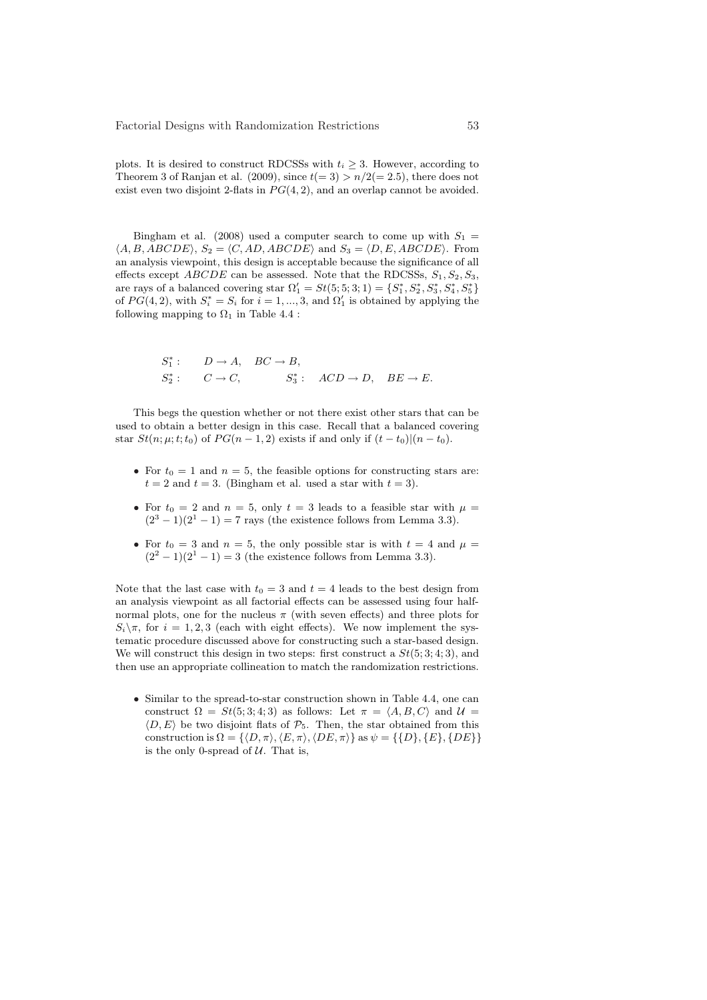plots. It is desired to construct RDCSSs with  $t_i \geq 3$ . However, according to Theorem 3 of Ranjan et al. (2009), since  $t(= 3) > n/2 (= 2.5)$ , there does not exist even two disjoint 2-flats in  $PG(4, 2)$ , and an overlap cannot be avoided.

Bingham et al. (2008) used a computer search to come up with  $S_1$  $\langle A, B, ABCDE \rangle$ ,  $S_2 = \langle C, AD, ABCDE \rangle$  and  $S_3 = \langle D, E, ABCDE \rangle$ . From an analysis viewpoint, this design is acceptable because the significance of all effects except  $ABCDE$  can be assessed. Note that the RDCSSs,  $S_1, S_2, S_3$ , are rays of a balanced covering star  $\Omega'_1 = St(5, 5, 3; 1) = \{S_1^*, S_2^*, S_3^*, S_4^*, S_5^*\}$ of  $PG(4, 2)$ , with  $S_i^* = S_i$  for  $i = 1, ..., 3$ , and  $\Omega'_1$  is obtained by applying the following mapping to  $\Omega_1$  in Table 4.4 :

$$
S_1^* : D \to A, BC \to B,
$$
  
\n
$$
S_2^* : C \to C, S_3^* : ACD \to D, BE \to E.
$$

This begs the question whether or not there exist other stars that can be used to obtain a better design in this case. Recall that a balanced covering star  $St(n; \mu; t; t_0)$  of  $PG(n - 1, 2)$  exists if and only if  $(t - t_0)|(n - t_0)$ .

- For  $t_0 = 1$  and  $n = 5$ , the feasible options for constructing stars are:  $t = 2$  and  $t = 3$ . (Bingham et al. used a star with  $t = 3$ ).
- For  $t_0 = 2$  and  $n = 5$ , only  $t = 3$  leads to a feasible star with  $\mu =$  $(2<sup>3</sup> - 1)(2<sup>1</sup> - 1) = 7$  rays (the existence follows from Lemma 3.3).
- For  $t_0 = 3$  and  $n = 5$ , the only possible star is with  $t = 4$  and  $\mu =$  $(2<sup>2</sup> - 1)(2<sup>1</sup> - 1) = 3$  (the existence follows from Lemma 3.3).

Note that the last case with  $t_0 = 3$  and  $t = 4$  leads to the best design from an analysis viewpoint as all factorial effects can be assessed using four halfnormal plots, one for the nucleus  $\pi$  (with seven effects) and three plots for  $S_i\setminus\pi$ , for  $i=1,2,3$  (each with eight effects). We now implement the systematic procedure discussed above for constructing such a star-based design. We will construct this design in two steps: first construct a  $St(5; 3; 4; 3)$ , and then use an appropriate collineation to match the randomization restrictions.

• Similar to the spread-to-star construction shown in Table 4.4, one can construct  $\Omega = St(5, 3, 4, 3)$  as follows: Let  $\pi = \langle A, B, C \rangle$  and  $\mathcal{U} =$  $\langle D, E \rangle$  be two disjoint flats of  $P_5$ . Then, the star obtained from this construction is  $\Omega = \{ \langle D, \pi \rangle, \langle E, \pi \rangle, \langle DE, \pi \rangle \}$  as  $\psi = \{ \{D\}, \{E\}, \{DE\} \}$ is the only 0-spread of  $U$ . That is,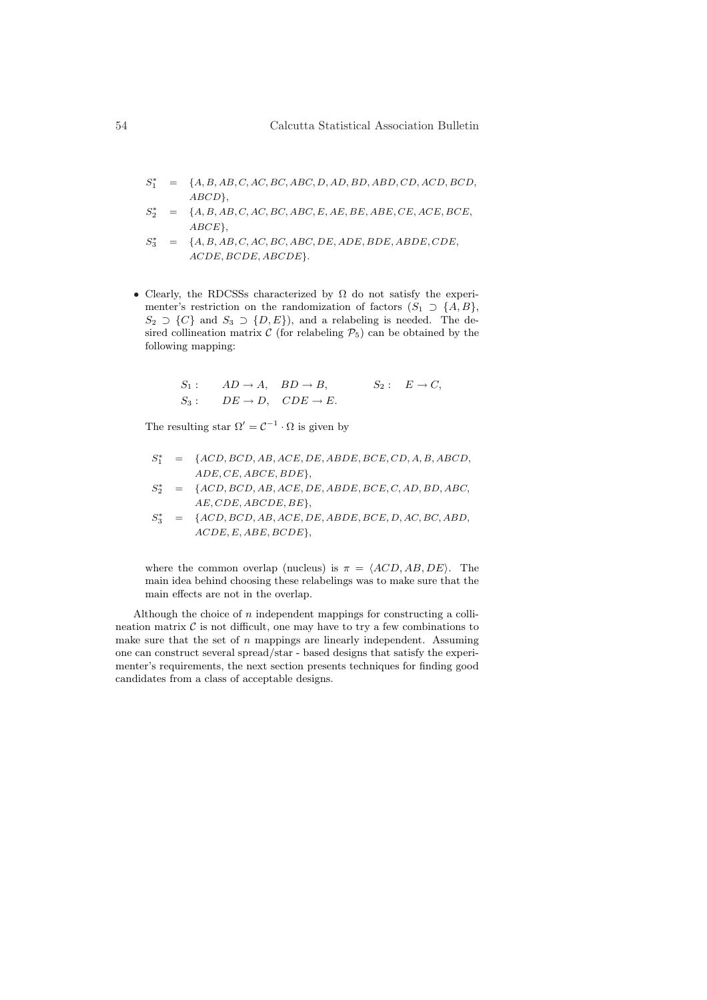- $S_1^*$  = {A, B, AB, C, AC, BC, ABC, D, AD, BD, ABD, CD, ACD, BCD, ABCD},
- $S_2^*$  $= \{A, B, AB, C, AC, BC, ABC, E, AE, BE, ABE, CE, ACE, BCE,$ ABCE},
- $S_3^*$  $= \{A, B, AB, C, AC, BC, ABC, DE, ADE, BDE, ABDE, CDE,$ ACDE, BCDE, ABCDE}.
- Clearly, the RDCSSs characterized by  $\Omega$  do not satisfy the experimenter's restriction on the randomization of factors  $(S_1 \supset \{A, B\},\)$  $S_2 \supset \{C\}$  and  $S_3 \supset \{D, E\}$ , and a relabeling is needed. The desired collineation matrix  $\mathcal C$  (for relabeling  $\mathcal P_5$ ) can be obtained by the following mapping:

$$
S_1
$$
:  $AD \rightarrow A$ ,  $BD \rightarrow B$ ,  $S_2$ :  $E \rightarrow C$ ,  
\n $S_3$ :  $DE \rightarrow D$ ,  $CDE \rightarrow E$ .

The resulting star  $\Omega' = C^{-1} \cdot \Omega$  is given by

- $S_1^*$  = {ACD, BCD, AB, ACE, DE, ABDE, BCE, CD, A, B, ABCD, ADE, CE, ABCE, BDE},
- $S_2^*$  = {ACD, BCD, AB, ACE, DE, ABDE, BCE, C, AD, BD, ABC, AE, CDE, ABCDE, BE},
- $S_3^*$  = {ACD, BCD, AB, ACE, DE, ABDE, BCE, D, AC, BC, ABD, ACDE, E, ABE, BCDE},

where the common overlap (nucleus) is  $\pi = \langle ACD, AB, DE \rangle$ . The main idea behind choosing these relabelings was to make sure that the main effects are not in the overlap.

Although the choice of  $n$  independent mappings for constructing a collineation matrix  $\mathcal C$  is not difficult, one may have to try a few combinations to make sure that the set of  $n$  mappings are linearly independent. Assuming one can construct several spread/star - based designs that satisfy the experimenter's requirements, the next section presents techniques for finding good candidates from a class of acceptable designs.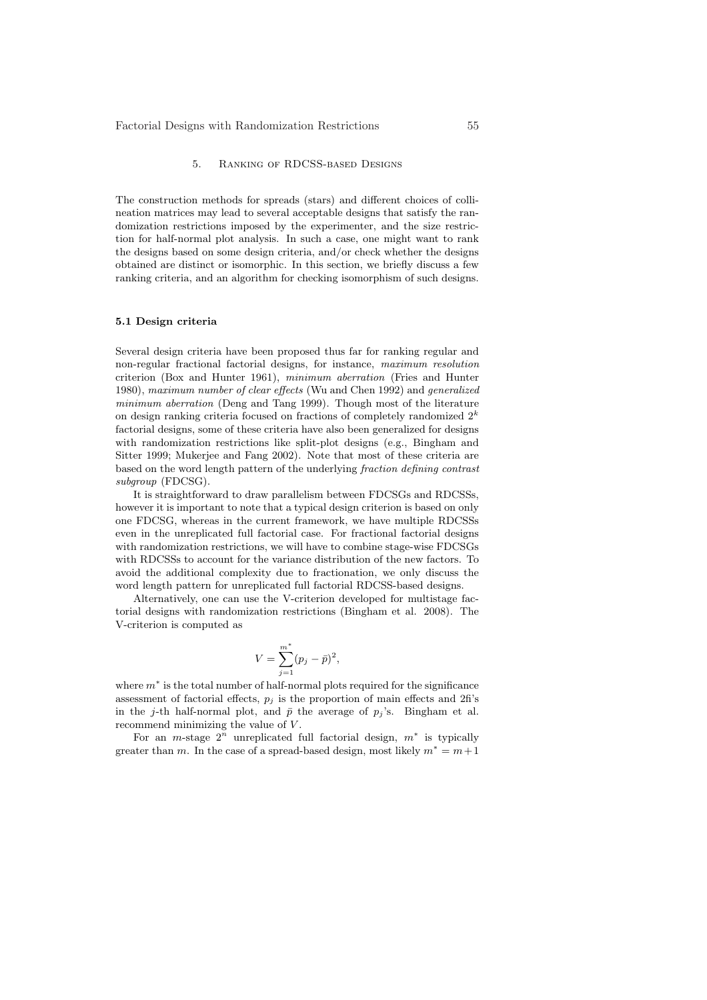# 5. Ranking of RDCSS-based Designs

The construction methods for spreads (stars) and different choices of collineation matrices may lead to several acceptable designs that satisfy the randomization restrictions imposed by the experimenter, and the size restriction for half-normal plot analysis. In such a case, one might want to rank the designs based on some design criteria, and/or check whether the designs obtained are distinct or isomorphic. In this section, we briefly discuss a few ranking criteria, and an algorithm for checking isomorphism of such designs.

### 5.1 Design criteria

Several design criteria have been proposed thus far for ranking regular and non-regular fractional factorial designs, for instance, maximum resolution criterion (Box and Hunter 1961), minimum aberration (Fries and Hunter 1980), maximum number of clear effects (Wu and Chen 1992) and generalized minimum aberration (Deng and Tang 1999). Though most of the literature on design ranking criteria focused on fractions of completely randomized  $2^k$ factorial designs, some of these criteria have also been generalized for designs with randomization restrictions like split-plot designs (e.g., Bingham and Sitter 1999; Mukerjee and Fang 2002). Note that most of these criteria are based on the word length pattern of the underlying fraction defining contrast subgroup (FDCSG).

It is straightforward to draw parallelism between FDCSGs and RDCSSs, however it is important to note that a typical design criterion is based on only one FDCSG, whereas in the current framework, we have multiple RDCSSs even in the unreplicated full factorial case. For fractional factorial designs with randomization restrictions, we will have to combine stage-wise FDCSGs with RDCSSs to account for the variance distribution of the new factors. To avoid the additional complexity due to fractionation, we only discuss the word length pattern for unreplicated full factorial RDCSS-based designs.

Alternatively, one can use the V-criterion developed for multistage factorial designs with randomization restrictions (Bingham et al. 2008). The V-criterion is computed as

$$
V = \sum_{j=1}^{m^*} (p_j - \bar{p})^2,
$$

where  $m^*$  is the total number of half-normal plots required for the significance assessment of factorial effects,  $p_i$  is the proportion of main effects and 2fi's in the j-th half-normal plot, and  $\bar{p}$  the average of  $p_j$ 's. Bingham et al. recommend minimizing the value of V.

For an m-stage  $2^n$  unreplicated full factorial design,  $m^*$  is typically greater than m. In the case of a spread-based design, most likely  $m^* = m+1$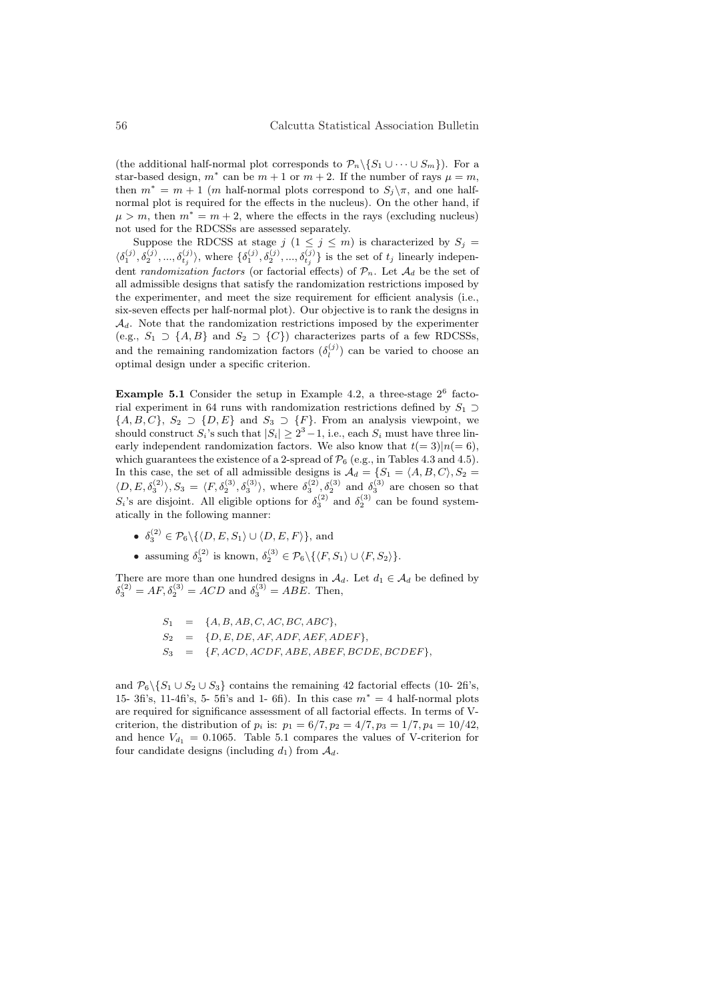(the additional half-normal plot corresponds to  $\mathcal{P}_n \backslash \{S_1 \cup \cdots \cup S_m\}$ ). For a star-based design,  $m^*$  can be  $m + 1$  or  $m + 2$ . If the number of rays  $\mu = m$ , then  $m^* = m + 1$  (*m* half-normal plots correspond to  $S_i \setminus \pi$ , and one halfnormal plot is required for the effects in the nucleus). On the other hand, if  $\mu > m$ , then  $m^* = m + 2$ , where the effects in the rays (excluding nucleus) not used for the RDCSSs are assessed separately.

Suppose the RDCSS at stage  $j$   $(1 \leq j \leq m)$  is characterized by  $S_j =$  $\langle \delta_1^{(j)}, \delta_2^{(j)}, ..., \delta_{t_j}^{(j)} \rangle$ , where  $\{\delta_1^{(j)}, \delta_2^{(j)}, ..., \delta_{t_j}^{(j)}\}$  is the set of  $t_j$  linearly independent *randomization factors* (or factorial effects) of  $\mathcal{P}_n$ . Let  $\mathcal{A}_d$  be the set of all admissible designs that satisfy the randomization restrictions imposed by the experimenter, and meet the size requirement for efficient analysis (i.e., six-seven effects per half-normal plot). Our objective is to rank the designs in  $\mathcal{A}_d$ . Note that the randomization restrictions imposed by the experimenter (e.g.,  $S_1 \supset \{A, B\}$  and  $S_2 \supset \{C\}$ ) characterizes parts of a few RDCSSs, and the remaining randomization factors  $(\delta_l^{(j)})$  can be varied to choose an optimal design under a specific criterion.

**Example 5.1** Consider the setup in Example 4.2, a three-stage  $2^6$  factorial experiment in 64 runs with randomization restrictions defined by  $S_1 \supset$  $\{A, B, C\}, S_2 \supset \{D, E\}$  and  $S_3 \supset \{F\}.$  From an analysis viewpoint, we should construct  $S_i$ 's such that  $|S_i| \geq 2^3 - 1$ , i.e., each  $S_i$  must have three linearly independent randomization factors. We also know that  $t(= 3)|n(= 6)$ , which guarantees the existence of a 2-spread of  $\mathcal{P}_6$  (e.g., in Tables 4.3 and 4.5). In this case, the set of all admissible designs is  $\mathcal{A}_d = \{S_1 = \langle A, B, C \rangle, S_2 =$  $\langle D, E, \delta_3^{(2)} \rangle, S_3 = \langle F, \delta_2^{(3)}, \delta_3^{(3)} \rangle$ , where  $\delta_3^{(2)}, \delta_2^{(3)}$  and  $\delta_3^{(3)}$  are chosen so that  $S_i$ 's are disjoint. All eligible options for  $\delta_3^{(2)}$  and  $\delta_2^{(3)}$  can be found systematically in the following manner:

- $\delta_3^{(2)} \in \mathcal{P}_6 \setminus \{ \langle D, E, S_1 \rangle \cup \langle D, E, F \rangle \},\$  and
- assuming  $\delta_3^{(2)}$  is known,  $\delta_2^{(3)} \in \mathcal{P}_6 \setminus {\{\langle F, S_1 \rangle \cup \langle F, S_2 \rangle\}}.$

There are more than one hundred designs in  $A_d$ . Let  $d_1 \in A_d$  be defined by  $\delta_3^{(2)} = AF, \delta_2^{(3)} = ACD$  and  $\delta_3^{(3)} = ABE$ . Then,

$$
S_1 = \{A, B, AB, C, AC, BC, ABC\},
$$
  
\n
$$
S_2 = \{D, E, DE, AF, ADF, AEF, ADEF\},
$$
  
\n
$$
S_3 = \{F, ACD, ACDF, ABE, ABEF, BCDE, BCDEF\},
$$

and  $\mathcal{P}_6 \backslash \{S_1 \cup S_2 \cup S_3\}$  contains the remaining 42 factorial effects (10- 2fi's, 15- 3fi's, 11-4fi's, 5- 5fi's and 1- 6fi). In this case  $m^* = 4$  half-normal plots are required for significance assessment of all factorial effects. In terms of Vcriterion, the distribution of  $p_i$  is:  $p_1 = 6/7, p_2 = 4/7, p_3 = 1/7, p_4 = 10/42$ , and hence  $V_{d_1} = 0.1065$ . Table 5.1 compares the values of V-criterion for four candidate designs (including  $d_1$ ) from  $\mathcal{A}_d$ .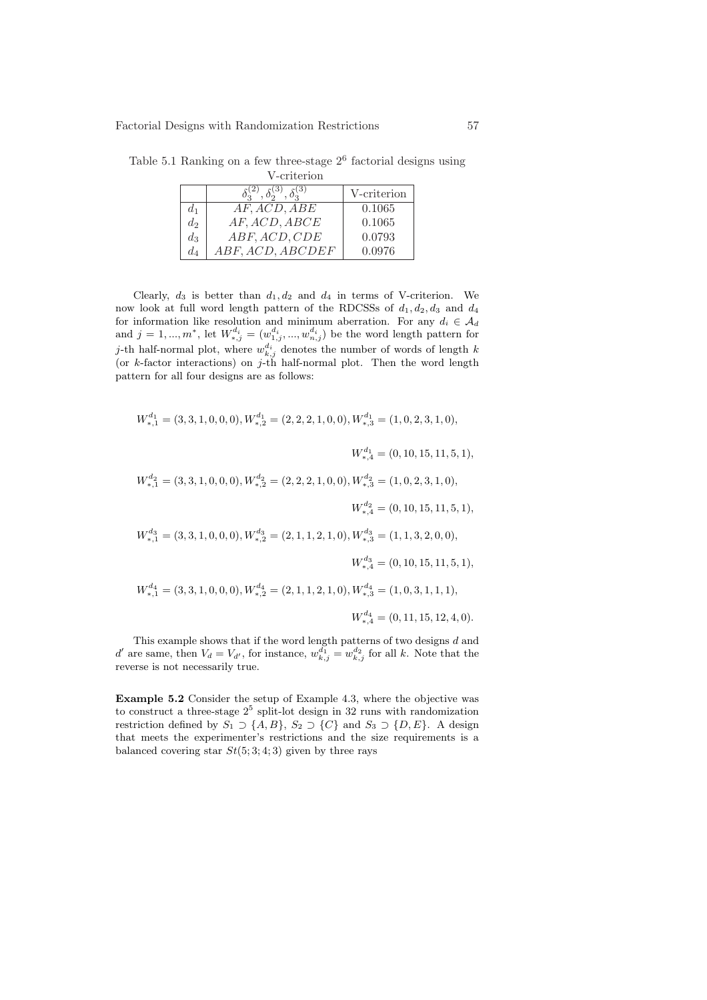V-criterion  $\delta_3^{(2)},\delta_2^{(3)},\delta_3^{(3)}$  $\frac{\text{V-criterion}}{0.1065}$  $d_1$  | AF, ACD, ABE | 0.1065  $d_2$  AF, ACD, ABCE 0.1065  $\begin{array}{c|c} d_3 & ABF,ACD, CDE & 0.0793 \ d_4 & ABF,ACD, ABCDEF & 0.0976 \end{array}$  $ABF, ACD, ABCDEF$  0.0976

Table 5.1 Ranking on a few three-stage  $2^6$  factorial designs using

Clearly,  $d_3$  is better than  $d_1, d_2$  and  $d_4$  in terms of V-criterion. We now look at full word length pattern of the RDCSSs of  $d_1, d_2, d_3$  and  $d_4$ for information like resolution and minimum aberration. For any  $d_i \in \mathcal{A}_d$  and  $j = 1, ..., m^*$ , let  $W_{*,j}^{d_i} = (w_{1,j}^{d_i}, ..., w_{n,j}^{d_i})$  be the word length pattern for *j*-th half-normal plot, where  $w_{k,j}^{d_i}$  denotes the number of words of length  $k$ (or  $k$ -factor interactions) on j-th half-normal plot. Then the word length pattern for all four designs are as follows:

$$
W_{*,1}^{d_1} = (3,3,1,0,0,0), W_{*,2}^{d_1} = (2,2,2,1,0,0), W_{*,3}^{d_1} = (1,0,2,3,1,0),
$$
  
\n
$$
W_{*,4}^{d_1} = (0,10,15,11,5,1),
$$
  
\n
$$
W_{*,1}^{d_2} = (3,3,1,0,0,0), W_{*,2}^{d_2} = (2,2,2,1,0,0), W_{*,3}^{d_2} = (1,0,2,3,1,0),
$$
  
\n
$$
W_{*,4}^{d_2} = (0,10,15,11,5,1),
$$
  
\n
$$
W_{*,1}^{d_3} = (3,3,1,0,0,0), W_{*,2}^{d_3} = (2,1,1,2,1,0), W_{*,3}^{d_3} = (1,1,3,2,0,0),
$$
  
\n
$$
W_{*,4}^{d_4} = (0,10,15,11,5,1),
$$
  
\n
$$
W_{*,1}^{d_4} = (3,3,1,0,0,0), W_{*,2}^{d_4} = (2,1,1,2,1,0), W_{*,3}^{d_4} = (1,0,3,1,1,1),
$$
  
\n
$$
W_{*,4}^{d_4} = (0,11,15,12,4,0).
$$

This example shows that if the word length patterns of two designs d and d' are same, then  $V_d = V_{d'}$ , for instance,  $w_{k,j}^{d_1} = w_{k,j}^{d_2}$  for all k. Note that the reverse is not necessarily true.

Example 5.2 Consider the setup of Example 4.3, where the objective was to construct a three-stage  $2^5$  split-lot design in 32 runs with randomization restriction defined by  $S_1 \supset \{A, B\}$ ,  $S_2 \supset \{C\}$  and  $S_3 \supset \{D, E\}$ . A design that meets the experimenter's restrictions and the size requirements is a balanced covering star  $St(5; 3; 4; 3)$  given by three rays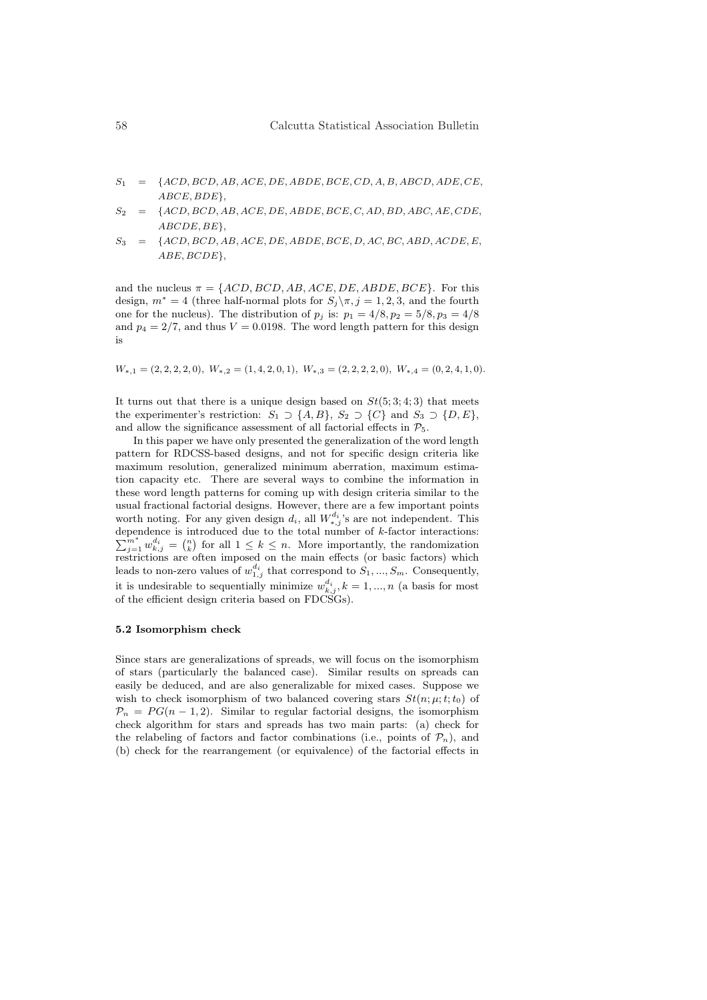- $S_1$  = {ACD, BCD, AB, ACE, DE, ABDE, BCE, CD, A, B, ABCD, ADE, CE, ABCE, BDE},
- $S_2 = \{ACD, BCD, AB, ACE, DE, ABDE, BCE, C, AD, BD, ABC, AE, CDE,$ ABCDE, BE},
- $S_3$  = {ACD, BCD, AB, ACE, DE, ABDE, BCE, D, AC, BC, ABD, ACDE, E, ABE, BCDE},

and the nucleus  $\pi = \{ACD, BCD, AB, ACE, DE, ABDE, BCE\}$ . For this design,  $m^* = 4$  (three half-normal plots for  $S_j \setminus \pi, j = 1, 2, 3$ , and the fourth one for the nucleus). The distribution of  $p_j$  is:  $p_1 = 4/8, p_2 = 5/8, p_3 = 4/8$ and  $p_4 = 2/7$ , and thus  $V = 0.0198$ . The word length pattern for this design is

 $W_{*,1} = (2, 2, 2, 2, 0), W_{*,2} = (1, 4, 2, 0, 1), W_{*,3} = (2, 2, 2, 2, 0), W_{*,4} = (0, 2, 4, 1, 0).$ 

It turns out that there is a unique design based on  $St(5; 3; 4; 3)$  that meets the experimenter's restriction:  $S_1 \supset \{A, B\}, S_2 \supset \{C\}$  and  $S_3 \supset \{D, E\},$ and allow the significance assessment of all factorial effects in  $\mathcal{P}_5$ .

In this paper we have only presented the generalization of the word length pattern for RDCSS-based designs, and not for specific design criteria like maximum resolution, generalized minimum aberration, maximum estimation capacity etc. There are several ways to combine the information in these word length patterns for coming up with design criteria similar to the usual fractional factorial designs. However, there are a few important points worth noting. For any given design  $d_i$ , all  $W_{*,j}^{d_i}$ 's are not independent. This dependence is introduced due to the total number of k-factor interactions:  $\sum_{j=1}^{m^*} w_{k,j}^{di} = {n \choose k}$  for all  $1 \le k \le n$ . More importantly, the randomization restrictions are often imposed on the main effects (or basic factors) which leads to non-zero values of  $w_{1,j}^{d_i}$  that correspond to  $S_1, ..., S_m$ . Consequently, it is undesirable to sequentially minimize  $w_{k,j}^{d_i}, k = 1, ..., n$  (a basis for most of the efficient design criteria based on FDCSGs).

# 5.2 Isomorphism check

Since stars are generalizations of spreads, we will focus on the isomorphism of stars (particularly the balanced case). Similar results on spreads can easily be deduced, and are also generalizable for mixed cases. Suppose we wish to check isomorphism of two balanced covering stars  $St(n; \mu; t; t_0)$  of  $\mathcal{P}_n = PG(n-1, 2)$ . Similar to regular factorial designs, the isomorphism check algorithm for stars and spreads has two main parts: (a) check for the relabeling of factors and factor combinations (i.e., points of  $\mathcal{P}_n$ ), and (b) check for the rearrangement (or equivalence) of the factorial effects in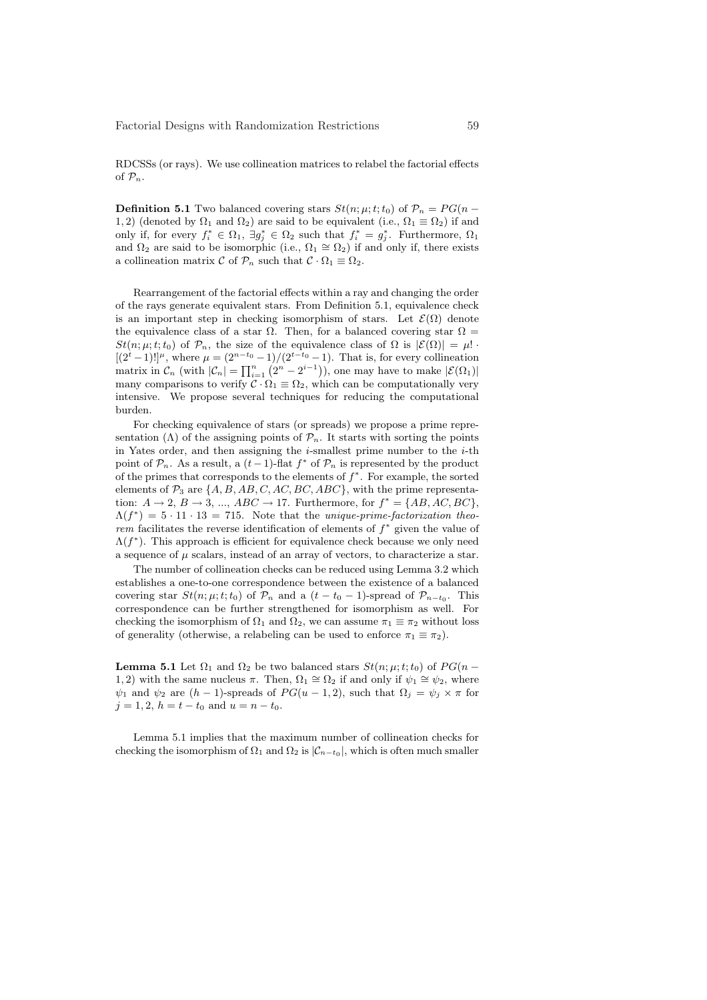RDCSSs (or rays). We use collineation matrices to relabel the factorial effects of  $\mathcal{P}_n$ .

**Definition 5.1** Two balanced covering stars  $St(n; \mu; t; t_0)$  of  $\mathcal{P}_n = PG(n - \mu)$ 1, 2) (denoted by  $\Omega_1$  and  $\Omega_2$ ) are said to be equivalent (i.e.,  $\Omega_1 \equiv \Omega_2$ ) if and only if, for every  $f_i^* \in \Omega_1$ ,  $\exists g_j^* \in \Omega_2$  such that  $f_i^* = g_j^*$ . Furthermore,  $\Omega_1$ and  $\Omega_2$  are said to be isomorphic (i.e.,  $\Omega_1 \cong \Omega_2$ ) if and only if, there exists a collineation matrix C of  $\mathcal{P}_n$  such that  $\mathcal{C} \cdot \Omega_1 \equiv \Omega_2$ .

Rearrangement of the factorial effects within a ray and changing the order of the rays generate equivalent stars. From Definition 5.1, equivalence check is an important step in checking isomorphism of stars. Let  $\mathcal{E}(\Omega)$  denote the equivalence class of a star  $\Omega$ . Then, for a balanced covering star  $\Omega$  =  $St(n; \mu; t; t_0)$  of  $\mathcal{P}_n$ , the size of the equivalence class of  $\Omega$  is  $|\mathcal{E}(\Omega)| = \mu!$ .  $[(2^t - 1)!]^{\mu}$ , where  $\mu = (2^{n-t_0} - 1)/(2^{t-t_0} - 1)$ . That is, for every collineation matrix in  $\mathcal{C}_n$  (with  $|\mathcal{C}_n| = \prod_{i=1}^n (2^n - 2^{i-1})$ ), one may have to make  $|\mathcal{E}(\Omega_1)|$ many comparisons to verify  $\mathcal{C} \cdot \Omega_1 \equiv \Omega_2$ , which can be computationally very intensive. We propose several techniques for reducing the computational burden.

For checking equivalence of stars (or spreads) we propose a prime representation ( $\Lambda$ ) of the assigning points of  $\mathcal{P}_n$ . It starts with sorting the points in Yates order, and then assigning the  $i$ -smallest prime number to the  $i$ -th point of  $\mathcal{P}_n$ . As a result, a  $(t-1)$ -flat  $f^*$  of  $\mathcal{P}_n$  is represented by the product of the primes that corresponds to the elements of  $f^*$ . For example, the sorted elements of  $\mathcal{P}_3$  are  $\{A, B, AB, C, AC, BC, ABC\}$ , with the prime representation:  $A \rightarrow 2$ ,  $B \rightarrow 3$ , ...,  $ABC \rightarrow 17$ . Furthermore, for  $f^* = \{AB, AC, BC\}$ ,  $\Lambda(f^*) = 5 \cdot 11 \cdot 13 = 715$ . Note that the unique-prime-factorization theorem facilitates the reverse identification of elements of  $f^*$  given the value of  $\Lambda(f^*)$ . This approach is efficient for equivalence check because we only need a sequence of  $\mu$  scalars, instead of an array of vectors, to characterize a star.

The number of collineation checks can be reduced using Lemma 3.2 which establishes a one-to-one correspondence between the existence of a balanced covering star  $St(n; \mu; t; t_0)$  of  $\mathcal{P}_n$  and a  $(t - t_0 - 1)$ -spread of  $\mathcal{P}_{n-t_0}$ . This correspondence can be further strengthened for isomorphism as well. For checking the isomorphism of  $\Omega_1$  and  $\Omega_2$ , we can assume  $\pi_1 \equiv \pi_2$  without loss of generality (otherwise, a relabeling can be used to enforce  $\pi_1 \equiv \pi_2$ ).

**Lemma 5.1** Let  $\Omega_1$  and  $\Omega_2$  be two balanced stars  $St(n; \mu; t; t_0)$  of  $PG(n -$ 1, 2) with the same nucleus  $\pi$ . Then,  $\Omega_1 \cong \Omega_2$  if and only if  $\psi_1 \cong \psi_2$ , where  $\psi_1$  and  $\psi_2$  are  $(h-1)$ -spreads of  $PG(u-1,2)$ , such that  $\Omega_j = \psi_j \times \pi$  for  $j = 1, 2, h = t - t_0$  and  $u = n - t_0$ .

Lemma 5.1 implies that the maximum number of collineation checks for checking the isomorphism of  $\Omega_1$  and  $\Omega_2$  is  $|\mathcal{C}_{n-t_0}|$ , which is often much smaller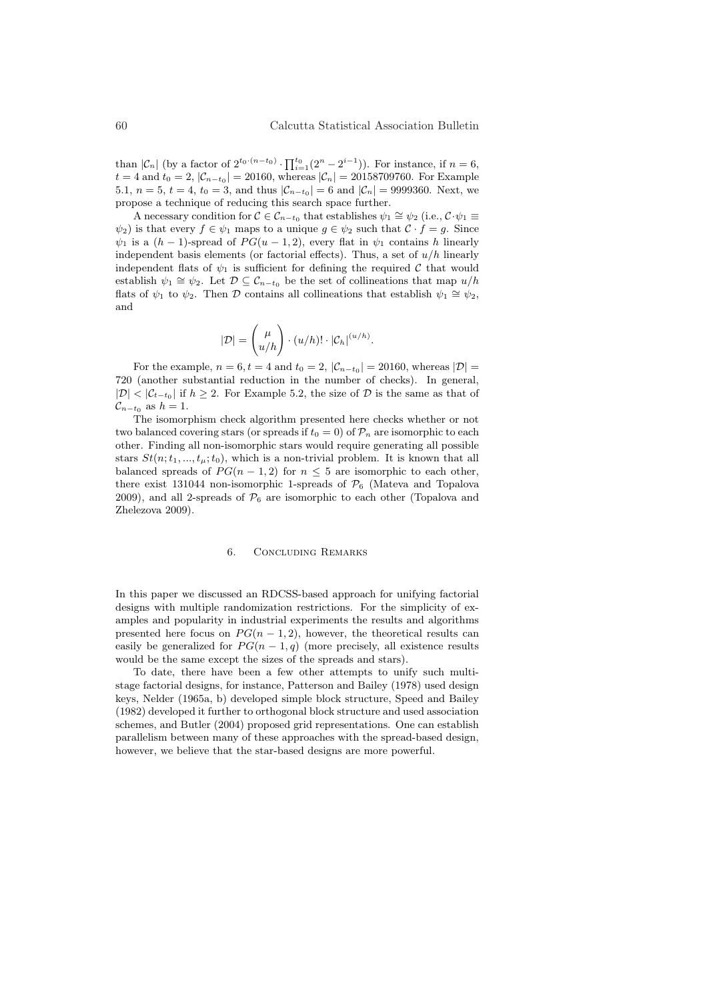than  $|\mathcal{C}_n|$  (by a factor of  $2^{t_0 \cdot (n-t_0)} \cdot \prod_{i=1}^{t_0} (2^n - 2^{i-1})$ ). For instance, if  $n = 6$ ,  $t = 4$  and  $t_0 = 2$ ,  $|\mathcal{C}_{n-t_0}| = 20160$ , whereas  $|\mathcal{C}_n| = 20158709760$ . For Example 5.1,  $n = 5$ ,  $t = 4$ ,  $t_0 = 3$ , and thus  $|\mathcal{C}_{n-t_0}| = 6$  and  $|\mathcal{C}_n| = 9999360$ . Next, we propose a technique of reducing this search space further.

A necessary condition for  $C \in \mathcal{C}_{n-t_0}$  that establishes  $\psi_1 \cong \psi_2$  (i.e.,  $C \cdot \psi_1 \equiv$  $\psi_2$ ) is that every  $f \in \psi_1$  maps to a unique  $g \in \psi_2$  such that  $\mathcal{C} \cdot f = g$ . Since  $\psi_1$  is a  $(h-1)$ -spread of  $PG(u-1,2)$ , every flat in  $\psi_1$  contains h linearly independent basis elements (or factorial effects). Thus, a set of  $u/h$  linearly independent flats of  $\psi_1$  is sufficient for defining the required C that would establish  $\psi_1 \cong \psi_2$ . Let  $\mathcal{D} \subseteq \mathcal{C}_{n-t_0}$  be the set of collineations that map  $u/h$ flats of  $\psi_1$  to  $\psi_2$ . Then D contains all collineations that establish  $\psi_1 \cong \psi_2$ , and

$$
|\mathcal{D}| = \binom{\mu}{u/h} \cdot (u/h)! \cdot |\mathcal{C}_h|^{(u/h)}.
$$

For the example,  $n = 6, t = 4$  and  $t_0 = 2$ ,  $|\mathcal{C}_{n-t_0}| = 20160$ , whereas  $|\mathcal{D}| =$ 720 (another substantial reduction in the number of checks). In general,  $|\mathcal{D}|$  <  $|\mathcal{C}_{t-t_0}|$  if  $h \geq 2$ . For Example 5.2, the size of  $\mathcal D$  is the same as that of  $\mathcal{C}_{n-t_0}$  as  $h=1$ .

The isomorphism check algorithm presented here checks whether or not two balanced covering stars (or spreads if  $t_0 = 0$ ) of  $\mathcal{P}_n$  are isomorphic to each other. Finding all non-isomorphic stars would require generating all possible stars  $St(n; t_1, ..., t_n; t_0)$ , which is a non-trivial problem. It is known that all balanced spreads of  $PG(n-1, 2)$  for  $n \leq 5$  are isomorphic to each other, there exist 131044 non-isomorphic 1-spreads of  $\mathcal{P}_6$  (Mateva and Topalova 2009), and all 2-spreads of  $P_6$  are isomorphic to each other (Topalova and Zhelezova 2009).

### 6. Concluding Remarks

In this paper we discussed an RDCSS-based approach for unifying factorial designs with multiple randomization restrictions. For the simplicity of examples and popularity in industrial experiments the results and algorithms presented here focus on  $PG(n-1,2)$ , however, the theoretical results can easily be generalized for  $PG(n-1,q)$  (more precisely, all existence results would be the same except the sizes of the spreads and stars).

To date, there have been a few other attempts to unify such multistage factorial designs, for instance, Patterson and Bailey (1978) used design keys, Nelder (1965a, b) developed simple block structure, Speed and Bailey (1982) developed it further to orthogonal block structure and used association schemes, and Butler (2004) proposed grid representations. One can establish parallelism between many of these approaches with the spread-based design, however, we believe that the star-based designs are more powerful.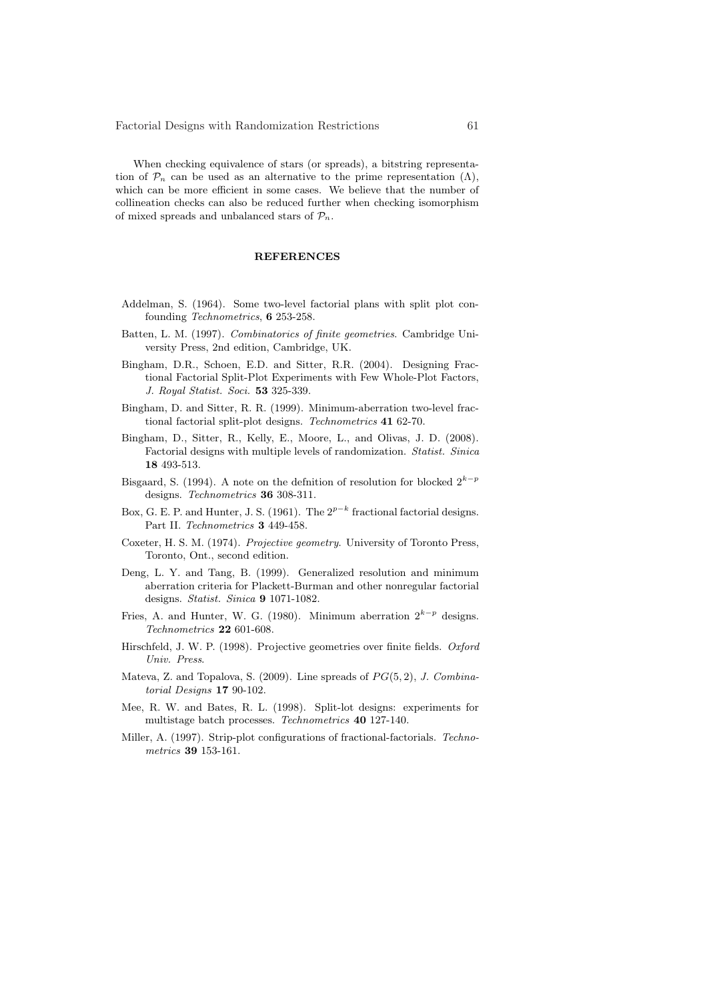When checking equivalence of stars (or spreads), a bitstring representation of  $\mathcal{P}_n$  can be used as an alternative to the prime representation  $(\Lambda)$ , which can be more efficient in some cases. We believe that the number of collineation checks can also be reduced further when checking isomorphism of mixed spreads and unbalanced stars of  $\mathcal{P}_n$ .

# **REFERENCES**

- Addelman, S. (1964). Some two-level factorial plans with split plot confounding Technometrics, 6 253-258.
- Batten, L. M. (1997). Combinatorics of finite geometries. Cambridge University Press, 2nd edition, Cambridge, UK.
- Bingham, D.R., Schoen, E.D. and Sitter, R.R. (2004). Designing Fractional Factorial Split-Plot Experiments with Few Whole-Plot Factors, J. Royal Statist. Soci. 53 325-339.
- Bingham, D. and Sitter, R. R. (1999). Minimum-aberration two-level fractional factorial split-plot designs. Technometrics 41 62-70.
- Bingham, D., Sitter, R., Kelly, E., Moore, L., and Olivas, J. D. (2008). Factorial designs with multiple levels of randomization. Statist. Sinica 18 493-513.
- Bisgaard, S. (1994). A note on the defnition of resolution for blocked  $2^{k-p}$ designs. Technometrics 36 308-311.
- Box, G. E. P. and Hunter, J. S. (1961). The  $2^{p-k}$  fractional factorial designs. Part II. Technometrics 3 449-458.
- Coxeter, H. S. M. (1974). Projective geometry. University of Toronto Press, Toronto, Ont., second edition.
- Deng, L. Y. and Tang, B. (1999). Generalized resolution and minimum aberration criteria for Plackett-Burman and other nonregular factorial designs. Statist. Sinica 9 1071-1082.
- Fries, A. and Hunter, W. G. (1980). Minimum aberration  $2^{k-p}$  designs. Technometrics 22 601-608.
- Hirschfeld, J. W. P. (1998). Projective geometries over finite fields. Oxford Univ. Press.
- Mateva, Z. and Topalova, S. (2009). Line spreads of  $PG(5, 2)$ , J. Combinatorial Designs 17 90-102.
- Mee, R. W. and Bates, R. L. (1998). Split-lot designs: experiments for multistage batch processes. Technometrics 40 127-140.
- Miller, A. (1997). Strip-plot configurations of fractional-factorials. Technometrics 39 153-161.